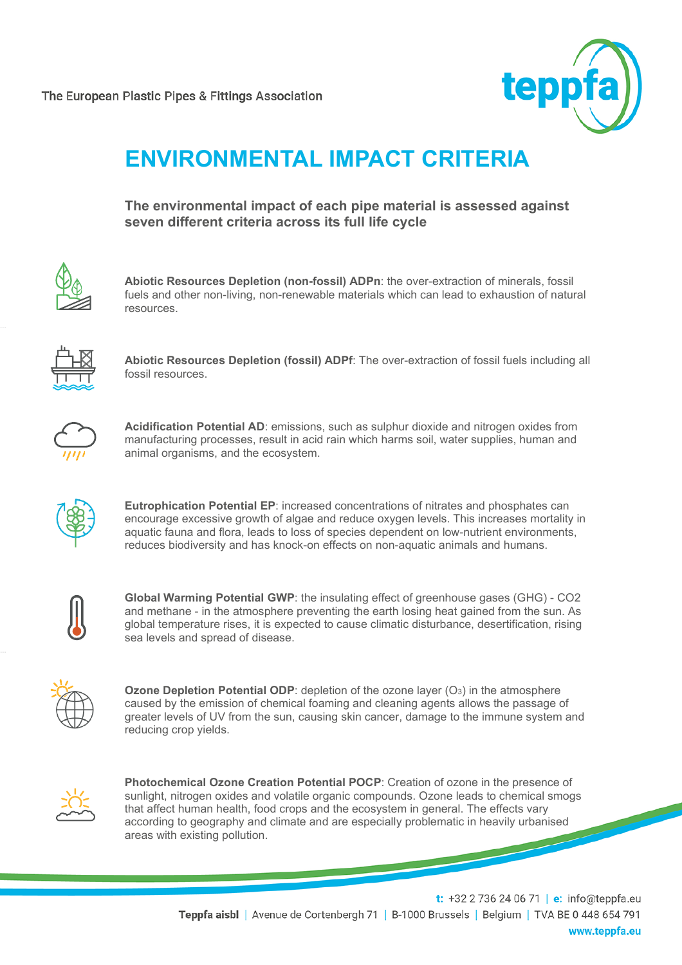

## **ENVIRONMENTAL IMPACT CRITERIA**

**The environmental impact of each pipe material is assessed against seven different criteria across its full life cycle**



**Abiotic Resources Depletion (non-fossil) ADPn**: the over-extraction of minerals, fossil fuels and other non-living, non-renewable materials which can lead to exhaustion of natural resources.



**Abiotic Resources Depletion (fossil) ADPf**: The over-extraction of fossil fuels including all fossil resources.



**Acidification Potential AD**: emissions, such as sulphur dioxide and nitrogen oxides from manufacturing processes, result in acid rain which harms soil, water supplies, human and animal organisms, and the ecosystem.



**Eutrophication Potential EP**: increased concentrations of nitrates and phosphates can encourage excessive growth of algae and reduce oxygen levels. This increases mortality in aquatic fauna and flora, leads to loss of species dependent on low-nutrient environments, reduces biodiversity and has knock-on effects on non-aquatic animals and humans.

**Global Warming Potential GWP**: the insulating effect of greenhouse gases (GHG) - CO2 and methane - in the atmosphere preventing the earth losing heat gained from the sun. As global temperature rises, it is expected to cause climatic disturbance, desertification, rising sea levels and spread of disease.

**Ozone Depletion Potential ODP**: depletion of the ozone layer (O<sub>3</sub>) in the atmosphere caused by the emission of chemical foaming and cleaning agents allows the passage of greater levels of UV from the sun, causing skin cancer, damage to the immune system and reducing crop yields.



**Photochemical Ozone Creation Potential POCP**: Creation of ozone in the presence of sunlight, nitrogen oxides and volatile organic compounds. Ozone leads to chemical smogs that affect human health, food crops and the ecosystem in general. The effects vary according to geography and climate and are especially problematic in heavily urbanised areas with existing pollution.